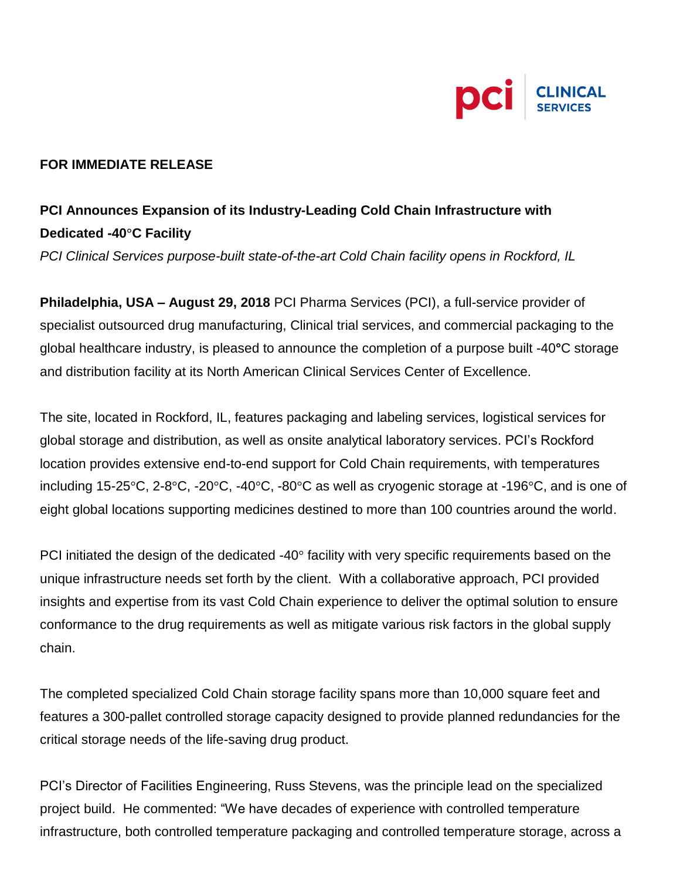

# **FOR IMMEDIATE RELEASE**

# **PCI Announces Expansion of its Industry-Leading Cold Chain Infrastructure with Dedicated -40°C Facility**

*PCI Clinical Services purpose-built state-of-the-art Cold Chain facility opens in Rockford, IL*

**Philadelphia, USA – August 29, 2018** PCI Pharma Services (PCI), a full-service provider of specialist outsourced drug manufacturing, Clinical trial services, and commercial packaging to the global healthcare industry, is pleased to announce the completion of a purpose built -40**°**C storage and distribution facility at its North American Clinical Services Center of Excellence.

The site, located in Rockford, IL, features packaging and labeling services, logistical services for global storage and distribution, as well as onsite analytical laboratory services. PCI's Rockford location provides extensive end-to-end support for Cold Chain requirements, with temperatures including 15-25°C, 2-8°C, -20°C, -40°C, -80°C as well as cryogenic storage at -196°C, and is one of eight global locations supporting medicines destined to more than 100 countries around the world.

PCI initiated the design of the dedicated -40° facility with very specific requirements based on the unique infrastructure needs set forth by the client. With a collaborative approach, PCI provided insights and expertise from its vast Cold Chain experience to deliver the optimal solution to ensure conformance to the drug requirements as well as mitigate various risk factors in the global supply chain.

The completed specialized Cold Chain storage facility spans more than 10,000 square feet and features a 300-pallet controlled storage capacity designed to provide planned redundancies for the critical storage needs of the life-saving drug product.

PCI's Director of Facilities Engineering, Russ Stevens, was the principle lead on the specialized project build. He commented: "We have decades of experience with controlled temperature infrastructure, both controlled temperature packaging and controlled temperature storage, across a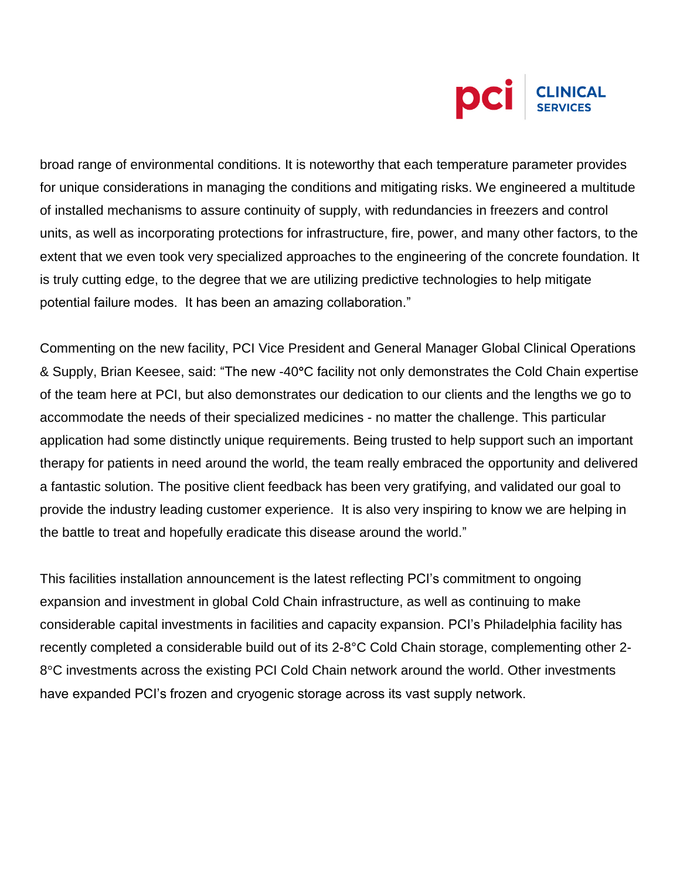broad range of environmental conditions. It is noteworthy that each temperature parameter provides for unique considerations in managing the conditions and mitigating risks. We engineered a multitude of installed mechanisms to assure continuity of supply, with redundancies in freezers and control units, as well as incorporating protections for infrastructure, fire, power, and many other factors, to the extent that we even took very specialized approaches to the engineering of the concrete foundation. It is truly cutting edge, to the degree that we are utilizing predictive technologies to help mitigate potential failure modes. It has been an amazing collaboration."

Commenting on the new facility, PCI Vice President and General Manager Global Clinical Operations & Supply, Brian Keesee, said: "The new -40**°**C facility not only demonstrates the Cold Chain expertise of the team here at PCI, but also demonstrates our dedication to our clients and the lengths we go to accommodate the needs of their specialized medicines - no matter the challenge. This particular application had some distinctly unique requirements. Being trusted to help support such an important therapy for patients in need around the world, the team really embraced the opportunity and delivered a fantastic solution. The positive client feedback has been very gratifying, and validated our goal to provide the industry leading customer experience. It is also very inspiring to know we are helping in the battle to treat and hopefully eradicate this disease around the world."

This facilities installation announcement is the latest reflecting PCI's commitment to ongoing expansion and investment in global Cold Chain infrastructure, as well as continuing to make considerable capital investments in facilities and capacity expansion. PCI's Philadelphia facility has recently completed a considerable build out of its 2-8°C Cold Chain storage, complementing other 2- 8°C investments across the existing PCI Cold Chain network around the world. Other investments have expanded PCI's frozen and cryogenic storage across its vast supply network.